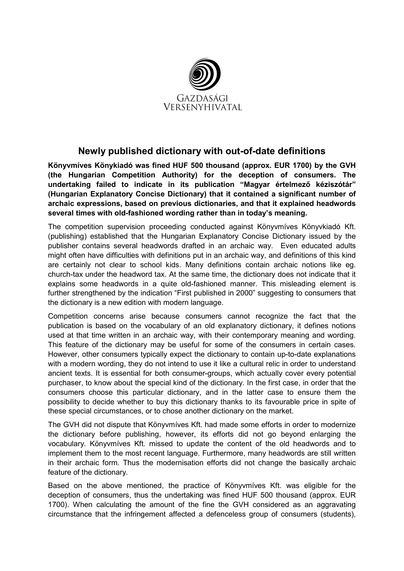

## **Newly published dictionary with out-of-date definitions**

**Könyvmíves Könykiadó was fined HUF 500 thousand (approx. EUR 1700) by the GVH (the Hungarian Competition Authority) for the deception of consumers. The**  undertaking failed to indicate in its publication "Magyar értelmező kéziszótár" **(Hungarian Explanatory Concise Dictionary) that it contained a significant number of archaic expressions, based on previous dictionaries, and that it explained headwords several times with old-fashioned wording rather than in today's meaning.** 

The competition supervision proceeding conducted against Könyvmíves Könyvkiadó Kft. (publishing) established that the Hungarian Explanatory Concise Dictionary issued by the publisher contains several headwords drafted in an archaic way. Even educated adults might often have difficulties with definitions put in an archaic way, and definitions of this kind are certainly not clear to school kids. Many definitions contain archaic notions like eg. church-tax under the headword tax. At the same time, the dictionary does not indicate that it explains some headwords in a quite old-fashioned manner. This misleading element is further strengthened by the indication "First published in 2000" suggesting to consumers that the dictionary is a new edition with modern language.

Competition concerns arise because consumers cannot recognize the fact that the publication is based on the vocabulary of an old explanatory dictionary, it defines notions used at that time written in an archaic way, with their contemporary meaning and wording. This feature of the dictionary may be useful for some of the consumers in certain cases. However, other consumers typically expect the dictionary to contain up-to-date explanations with a modern wording, they do not intend to use it like a cultural relic in order to understand ancient texts. It is essential for both consumer-groups, which actually cover every potential purchaser, to know about the special kind of the dictionary. In the first case, in order that the consumers choose this particular dictionary, and in the latter case to ensure them the possibility to decide whether to buy this dictionary thanks to its favourable price in spite of these special circumstances, or to chose another dictionary on the market.

The GVH did not dispute that Könyvmíves Kft. had made some efforts in order to modernize the dictionary before publishing, however, its efforts did not go beyond enlarging the vocabulary. Könyvmíves Kft. missed to update the content of the old headwords and to implement them to the most recent language. Furthermore, many headwords are still written in their archaic form. Thus the modernisation efforts did not change the basically archaic feature of the dictionary.

Based on the above mentioned, the practice of Könyvmíves Kft. was eligible for the deception of consumers, thus the undertaking was fined HUF 500 thousand (approx. EUR 1700). When calculating the amount of the fine the GVH considered as an aggravating circumstance that the infringement affected a defenceless group of consumers (students),